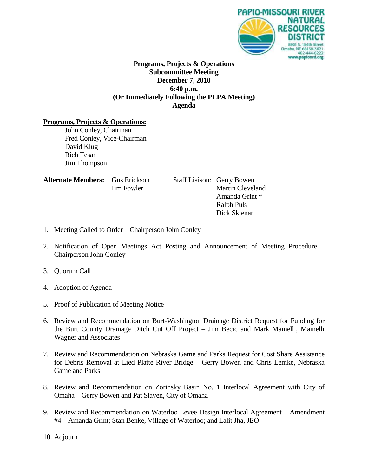

### **Programs, Projects & Operations Subcommittee Meeting December 7, 2010 6:40 p.m. (Or Immediately Following the PLPA Meeting) Agenda**

#### **Programs, Projects & Operations:**

John Conley, Chairman Fred Conley, Vice-Chairman David Klug Rich Tesar Jim Thompson

| <b>Alternate Members:</b> Gus Erickson |            |
|----------------------------------------|------------|
|                                        | Tim Fowler |

**Staff Liaison: Gerry Bowen** Martin Cleveland Amanda Grint \* Ralph Puls Dick Sklenar

- 1. Meeting Called to Order Chairperson John Conley
- 2. Notification of Open Meetings Act Posting and Announcement of Meeting Procedure Chairperson John Conley
- 3. Quorum Call
- 4. Adoption of Agenda
- 5. Proof of Publication of Meeting Notice
- 6. Review and Recommendation on Burt-Washington Drainage District Request for Funding for the Burt County Drainage Ditch Cut Off Project – Jim Becic and Mark Mainelli, Mainelli Wagner and Associates
- 7. Review and Recommendation on Nebraska Game and Parks Request for Cost Share Assistance for Debris Removal at Lied Platte River Bridge – Gerry Bowen and Chris Lemke, Nebraska Game and Parks
- 8. Review and Recommendation on Zorinsky Basin No. 1 Interlocal Agreement with City of Omaha – Gerry Bowen and Pat Slaven, City of Omaha
- 9. Review and Recommendation on Waterloo Levee Design Interlocal Agreement Amendment #4 – Amanda Grint; Stan Benke, Village of Waterloo; and Lalit Jha, JEO

10. Adjourn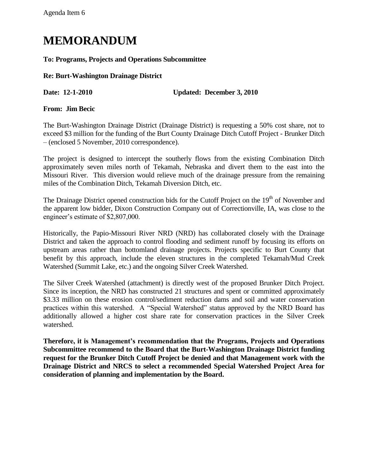# **MEMORANDUM**

**To: Programs, Projects and Operations Subcommittee**

**Re: Burt-Washington Drainage District**

**Date: 12-1-2010 Updated: December 3, 2010**

**From: Jim Becic**

The Burt-Washington Drainage District (Drainage District) is requesting a 50% cost share, not to exceed \$3 million for the funding of the Burt County Drainage Ditch Cutoff Project - Brunker Ditch – (enclosed 5 November, 2010 correspondence).

The project is designed to intercept the southerly flows from the existing Combination Ditch approximately seven miles north of Tekamah, Nebraska and divert them to the east into the Missouri River. This diversion would relieve much of the drainage pressure from the remaining miles of the Combination Ditch, Tekamah Diversion Ditch, etc.

The Drainage District opened construction bids for the Cutoff Project on the  $19<sup>th</sup>$  of November and the apparent low bidder, Dixon Construction Company out of Correctionville, IA, was close to the engineer's estimate of \$2,807,000.

Historically, the Papio-Missouri River NRD (NRD) has collaborated closely with the Drainage District and taken the approach to control flooding and sediment runoff by focusing its efforts on upstream areas rather than bottomland drainage projects. Projects specific to Burt County that benefit by this approach, include the eleven structures in the completed Tekamah/Mud Creek Watershed (Summit Lake, etc.) and the ongoing Silver Creek Watershed.

The Silver Creek Watershed (attachment) is directly west of the proposed Brunker Ditch Project. Since its inception, the NRD has constructed 21 structures and spent or committed approximately \$3.33 million on these erosion control/sediment reduction dams and soil and water conservation practices within this watershed. A "Special Watershed" status approved by the NRD Board has additionally allowed a higher cost share rate for conservation practices in the Silver Creek watershed.

**Therefore, it is Management's recommendation that the Programs, Projects and Operations Subcommittee recommend to the Board that the Burt-Washington Drainage District funding request for the Brunker Ditch Cutoff Project be denied and that Management work with the Drainage District and NRCS to select a recommended Special Watershed Project Area for consideration of planning and implementation by the Board.**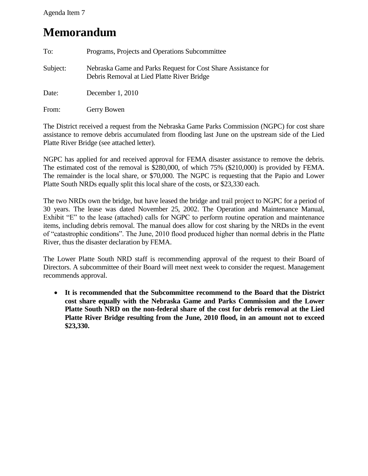### Agenda Item 7

## **Memorandum**

| To:      | Programs, Projects and Operations Subcommittee                                                              |  |
|----------|-------------------------------------------------------------------------------------------------------------|--|
| Subject: | Nebraska Game and Parks Request for Cost Share Assistance for<br>Debris Removal at Lied Platte River Bridge |  |
| Date:    | December $1,2010$                                                                                           |  |
| From:    | Gerry Bowen                                                                                                 |  |

The District received a request from the Nebraska Game Parks Commission (NGPC) for cost share assistance to remove debris accumulated from flooding last June on the upstream side of the Lied Platte River Bridge (see attached letter).

NGPC has applied for and received approval for FEMA disaster assistance to remove the debris. The estimated cost of the removal is \$280,000, of which 75% (\$210,000) is provided by FEMA. The remainder is the local share, or \$70,000. The NGPC is requesting that the Papio and Lower Platte South NRDs equally split this local share of the costs, or \$23,330 each.

The two NRDs own the bridge, but have leased the bridge and trail project to NGPC for a period of 30 years. The lease was dated November 25, 2002. The Operation and Maintenance Manual, Exhibit "E" to the lease (attached) calls for NGPC to perform routine operation and maintenance items, including debris removal. The manual does allow for cost sharing by the NRDs in the event of "catastrophic conditions". The June, 2010 flood produced higher than normal debris in the Platte River, thus the disaster declaration by FEMA.

The Lower Platte South NRD staff is recommending approval of the request to their Board of Directors. A subcommittee of their Board will meet next week to consider the request. Management recommends approval.

 **It is recommended that the Subcommittee recommend to the Board that the District cost share equally with the Nebraska Game and Parks Commission and the Lower Platte South NRD on the non-federal share of the cost for debris removal at the Lied Platte River Bridge resulting from the June, 2010 flood, in an amount not to exceed \$23,330.**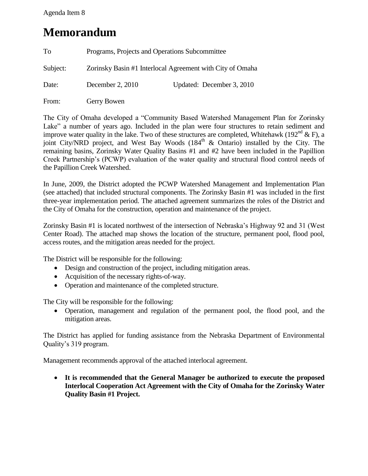### Agenda Item 8

## **Memorandum**

| To       | Programs, Projects and Operations Subcommittee            |                           |
|----------|-----------------------------------------------------------|---------------------------|
| Subject: | Zorinsky Basin #1 Interlocal Agreement with City of Omaha |                           |
| Date:    | December 2, 2010                                          | Updated: December 3, 2010 |
| From:    | Gerry Bowen                                               |                           |

The City of Omaha developed a "Community Based Watershed Management Plan for Zorinsky Lake" a number of years ago. Included in the plan were four structures to retain sediment and improve water quality in the lake. Two of these structures are completed, Whitehawk (192<sup>nd</sup> & F), a joint City/NRD project, and West Bay Woods  $(184<sup>th</sup> \& 0$ ntario) installed by the City. The remaining basins, Zorinsky Water Quality Basins #1 and #2 have been included in the Papillion Creek Partnership's (PCWP) evaluation of the water quality and structural flood control needs of the Papillion Creek Watershed.

In June, 2009, the District adopted the PCWP Watershed Management and Implementation Plan (see attached) that included structural components. The Zorinsky Basin #1 was included in the first three-year implementation period. The attached agreement summarizes the roles of the District and the City of Omaha for the construction, operation and maintenance of the project.

Zorinsky Basin #1 is located northwest of the intersection of Nebraska's Highway 92 and 31 (West Center Road). The attached map shows the location of the structure, permanent pool, flood pool, access routes, and the mitigation areas needed for the project.

The District will be responsible for the following:

- Design and construction of the project, including mitigation areas.
- Acquisition of the necessary rights-of-way.
- Operation and maintenance of the completed structure.

The City will be responsible for the following:

 Operation, management and regulation of the permanent pool, the flood pool, and the mitigation areas.

The District has applied for funding assistance from the Nebraska Department of Environmental Quality's 319 program.

Management recommends approval of the attached interlocal agreement.

 **It is recommended that the General Manager be authorized to execute the proposed Interlocal Cooperation Act Agreement with the City of Omaha for the Zorinsky Water Quality Basin #1 Project.**